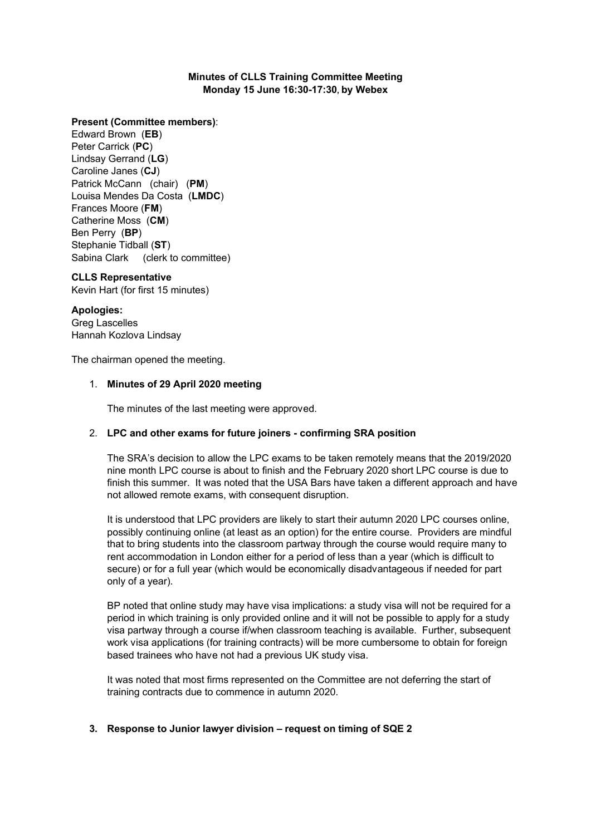#### **Minutes of CLLS Training Committee Meeting Monday 15 June 16:30-17:30, by Webex**

#### **Present (Committee members)**:

Edward Brown (**EB**) Peter Carrick (**PC**) Lindsay Gerrand (**LG**) Caroline Janes (**CJ**) Patrick McCann (chair) (**PM**) Louisa Mendes Da Costa (**LMDC**) Frances Moore (**FM**) Catherine Moss (**CM**) Ben Perry (**BP**) Stephanie Tidball (**ST**) Sabina Clark (clerk to committee)

#### **CLLS Representative**

Kevin Hart (for first 15 minutes)

#### **Apologies:**

Greg Lascelles Hannah Kozlova Lindsay

The chairman opened the meeting.

#### 1. **Minutes of 29 April 2020 meeting**

The minutes of the last meeting were approved.

## 2. **LPC and other exams for future joiners - confirming SRA position**

The SRA's decision to allow the LPC exams to be taken remotely means that the 2019/2020 nine month LPC course is about to finish and the February 2020 short LPC course is due to finish this summer. It was noted that the USA Bars have taken a different approach and have not allowed remote exams, with consequent disruption.

It is understood that LPC providers are likely to start their autumn 2020 LPC courses online, possibly continuing online (at least as an option) for the entire course. Providers are mindful that to bring students into the classroom partway through the course would require many to rent accommodation in London either for a period of less than a year (which is difficult to secure) or for a full year (which would be economically disadvantageous if needed for part only of a year).

BP noted that online study may have visa implications: a study visa will not be required for a period in which training is only provided online and it will not be possible to apply for a study visa partway through a course if/when classroom teaching is available. Further, subsequent work visa applications (for training contracts) will be more cumbersome to obtain for foreign based trainees who have not had a previous UK study visa.

It was noted that most firms represented on the Committee are not deferring the start of training contracts due to commence in autumn 2020.

## **3. Response to Junior lawyer division – request on timing of SQE 2**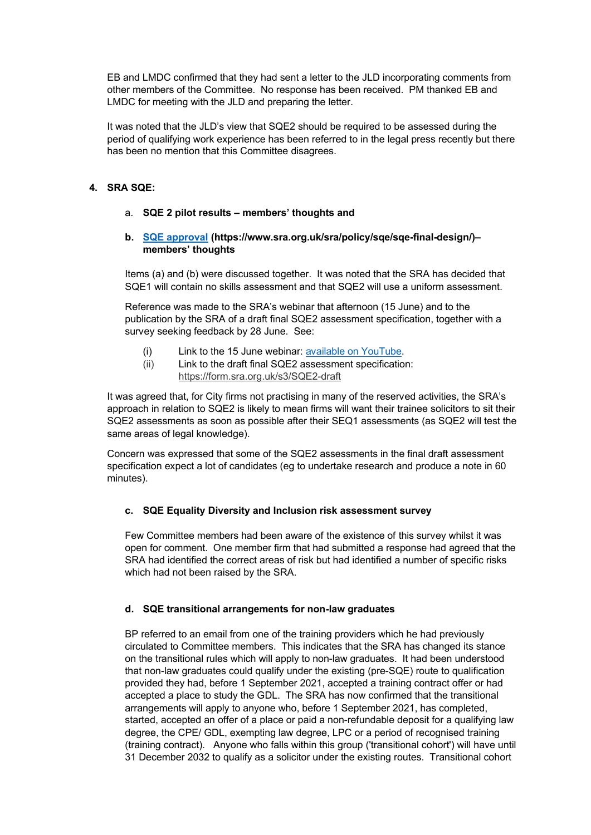EB and LMDC confirmed that they had sent a letter to the JLD incorporating comments from other members of the Committee. No response has been received. PM thanked EB and LMDC for meeting with the JLD and preparing the letter.

It was noted that the JLD's view that SQE2 should be required to be assessed during the period of qualifying work experience has been referred to in the legal press recently but there has been no mention that this Committee disagrees.

## **4. SRA SQE:**

## a. **SQE 2 pilot results – members' thoughts and**

#### **b. [SQE approval](https://www.sra.org.uk/sra/policy/sqe/sqe-final-design/) (https://www.sra.org.uk/sra/policy/sqe/sqe-final-design/)– members' thoughts**

Items (a) and (b) were discussed together. It was noted that the SRA has decided that SQE1 will contain no skills assessment and that SQE2 will use a uniform assessment.

Reference was made to the SRA's webinar that afternoon (15 June) and to the publication by the SRA of a draft final SQE2 assessment specification, together with a survey seeking feedback by 28 June. See:

- (i) Link to the 15 June webinar: [available on YouTube.](https://protect-eu.mimecast.com/s/UizxCQ13ziNokWOcPcQ-N?domain=youtu.be)
- (ii) Link to the draft final SQE2 assessment specification: [https://form.sra.org.uk/s3/SQE2-draft](https://www.youtube.com/redirect?q=https%3A%2F%2Fform.sra.org.uk%2Fs3%2FSQE2-draft&redir_token=3qqDCTr81Kr3pWKmZJhzdgt7IUx8MTU5MjMxOTUwNkAxNTkyMjMzMTA2&v=HLiWcz-SSkg&event=video_description)

It was agreed that, for City firms not practising in many of the reserved activities, the SRA's approach in relation to SQE2 is likely to mean firms will want their trainee solicitors to sit their SQE2 assessments as soon as possible after their SEQ1 assessments (as SQE2 will test the same areas of legal knowledge).

Concern was expressed that some of the SQE2 assessments in the final draft assessment specification expect a lot of candidates (eg to undertake research and produce a note in 60 minutes).

## **c. SQE Equality Diversity and Inclusion risk assessment survey**

Few Committee members had been aware of the existence of this survey whilst it was open for comment. One member firm that had submitted a response had agreed that the SRA had identified the correct areas of risk but had identified a number of specific risks which had not been raised by the SRA.

## **d. SQE transitional arrangements for non-law graduates**

BP referred to an email from one of the training providers which he had previously circulated to Committee members. This indicates that the SRA has changed its stance on the transitional rules which will apply to non-law graduates. It had been understood that non-law graduates could qualify under the existing (pre-SQE) route to qualification provided they had, before 1 September 2021, accepted a training contract offer or had accepted a place to study the GDL. The SRA has now confirmed that the transitional arrangements will apply to anyone who, before 1 September 2021, has completed, started, accepted an offer of a place or paid a non-refundable deposit for a qualifying law degree, the CPE/ GDL, exempting law degree, LPC or a period of recognised training (training contract). Anyone who falls within this group ('transitional cohort') will have until 31 December 2032 to qualify as a solicitor under the existing routes. Transitional cohort